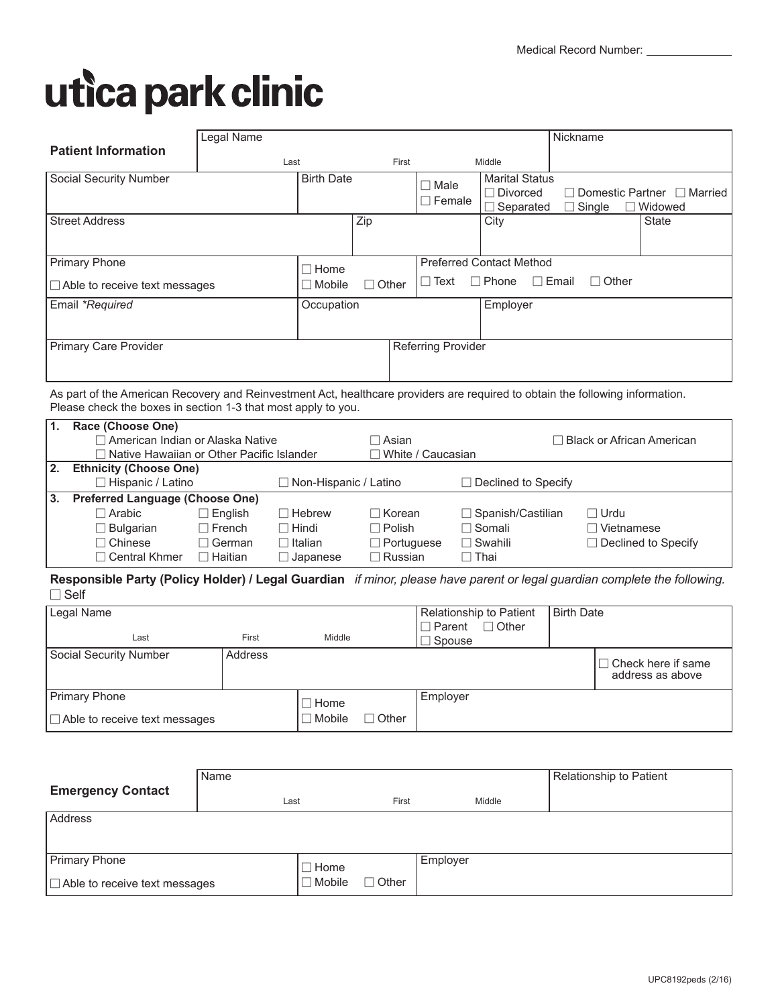# utica park clinic

|                                      | Legal Name |                               |                              |                                                              | Nickname                     |                                                          |
|--------------------------------------|------------|-------------------------------|------------------------------|--------------------------------------------------------------|------------------------------|----------------------------------------------------------|
| <b>Patient Information</b>           | Last       | First                         |                              | Middle                                                       |                              |                                                          |
| Social Security Number               |            | <b>Birth Date</b>             | $\Box$ Male<br>$\Box$ Female | <b>Marital Status</b><br>$\Box$ Divorced<br>$\Box$ Separated | $\Box$ Single                | $\Box$ Domestic Partner $\Box$ Married<br>$\Box$ Widowed |
| <b>Street Address</b>                |            | Zip                           |                              | City                                                         |                              | <b>State</b>                                             |
| <b>Primary Phone</b>                 |            | $\Box$ Home                   |                              | <b>Preferred Contact Method</b>                              |                              |                                                          |
| $\Box$ Able to receive text messages |            | $\Box$ Other<br>$\Box$ Mobile | $\Box$ Text                  | Phone                                                        | $\Box$ Email<br>$\Box$ Other |                                                          |
| Email *Required                      |            | Occupation                    |                              | Employer                                                     |                              |                                                          |
| <b>Primary Care Provider</b>         |            |                               | Referring Provider           |                                                              |                              |                                                          |

As part of the American Recovery and Reinvestment Act, healthcare providers are required to obtain the following information. Please check the boxes in section 1-3 that most apply to you.

| $\overline{1}$ . | Race (Choose One)                           |                |                              |                            |                            |                                  |  |
|------------------|---------------------------------------------|----------------|------------------------------|----------------------------|----------------------------|----------------------------------|--|
|                  | $\Box$ American Indian or Alaska Native     |                |                              | □ Asian                    |                            | $\Box$ Black or African American |  |
|                  | □ Native Hawaiian or Other Pacific Islander |                |                              | $\sqcap$ White / Caucasian |                            |                                  |  |
| 2.               | <b>Ethnicity (Choose One)</b>               |                |                              |                            |                            |                                  |  |
|                  | $\Box$ Hispanic / Latino                    |                | $\Box$ Non-Hispanic / Latino |                            | $\Box$ Declined to Specify |                                  |  |
| <u> ვ.</u>       | <b>Preferred Language (Choose One)</b>      |                |                              |                            |                            |                                  |  |
|                  | $\Box$ Arabic                               | $\Box$ English | $\Box$ Hebrew                | $\Box$ Korean              | $\Box$ Spanish/Castilian   | $\Box$ Urdu                      |  |
|                  | $\Box$ Bulgarian                            | $\Box$ French  | $\Box$ Hindi                 | $\Box$ Polish              | $\Box$ Somali              | $\Box$ Vietnamese                |  |
|                  | $\Box$ Chinese                              | $\Box$ German  | $\Box$ Italian               | $\Box$ Portuguese          | $\Box$ Swahili             | $\Box$ Declined to Specify       |  |
|                  | $\Box$ Central Khmer                        | $\Box$ Haitian | $\Box$ Japanese              | $\sqcap$ Russian           | $\Box$ Thai                |                                  |  |

**Responsible Party (Policy Holder) / Legal Guardian** *if minor, please have parent or legal guardian complete the following.*  $\Box$  Self

| Legal Name                           |         |               |              | $\Box$ Parent      | Relationship to Patient<br>$\Box$ Other | <b>Birth Date</b> |                                               |
|--------------------------------------|---------|---------------|--------------|--------------------|-----------------------------------------|-------------------|-----------------------------------------------|
| Last                                 | First   | Middle        |              | $\sqsupset$ Spouse |                                         |                   |                                               |
| Social Security Number               | Address |               |              |                    |                                         |                   | $\Box$ Check here if same<br>address as above |
| Primary Phone                        |         | $\Box$ Home   |              | Employer           |                                         |                   |                                               |
| $\Box$ Able to receive text messages |         | $\Box$ Mobile | $\Box$ Other |                    |                                         |                   |                                               |

|                                      | Name |               |              |          |        | Relationship to Patient |
|--------------------------------------|------|---------------|--------------|----------|--------|-------------------------|
| <b>Emergency Contact</b>             | Last |               | First        |          | Middle |                         |
| Address                              |      |               |              |          |        |                         |
|                                      |      |               |              |          |        |                         |
| <b>Primary Phone</b>                 |      | $\Box$ Home   |              | Employer |        |                         |
| $\Box$ Able to receive text messages |      | $\Box$ Mobile | $\Box$ Other |          |        |                         |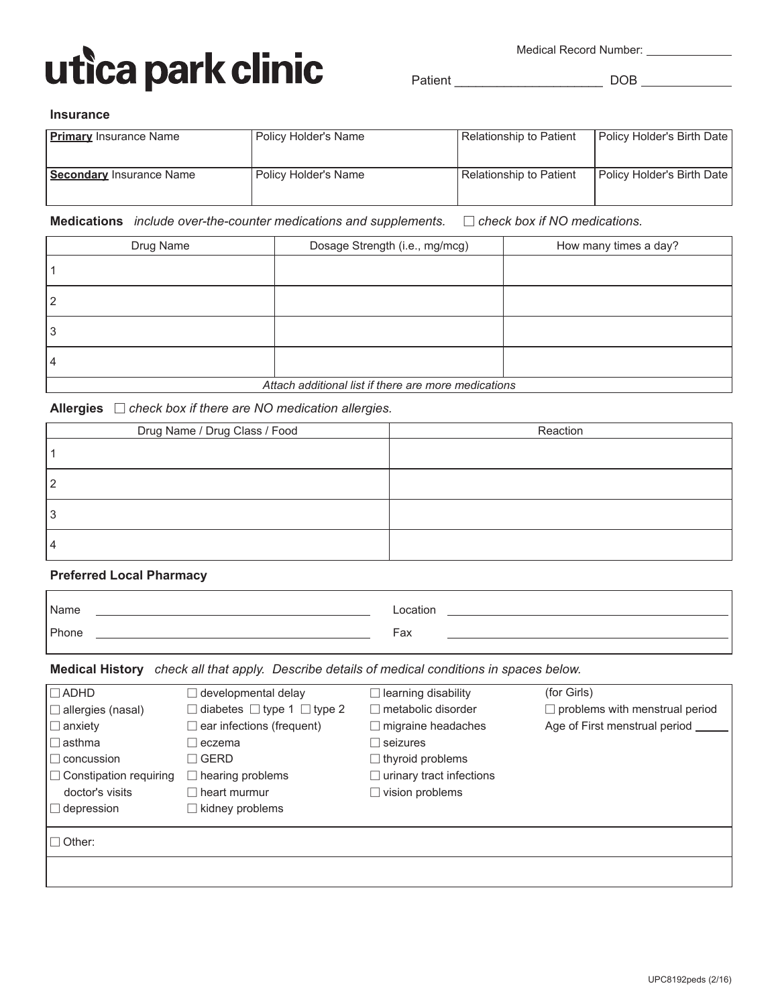

Medical Record Number: \_\_\_\_\_\_\_\_\_\_\_\_\_\_

Patient \_\_\_\_\_\_\_\_\_\_\_\_\_\_\_\_\_\_\_\_\_ DOB

#### **Insurance**

| <b>Primary</b> Insurance Name | Policy Holder's Name | Relationship to Patient | Policy Holder's Birth Date |
|-------------------------------|----------------------|-------------------------|----------------------------|
| Secondary Insurance Name      | Policy Holder's Name | Relationship to Patient | Policy Holder's Birth Date |

**Medications** *include over-the-counter medications and supplements.* - *check box if NO medications.*

| Drug Name                                            | Dosage Strength (i.e., mg/mcg) | How many times a day? |  |  |  |
|------------------------------------------------------|--------------------------------|-----------------------|--|--|--|
|                                                      |                                |                       |  |  |  |
| 2                                                    |                                |                       |  |  |  |
| 3                                                    |                                |                       |  |  |  |
| 4                                                    |                                |                       |  |  |  |
| Attach additional list if there are more medications |                                |                       |  |  |  |

**Allergies** - *check box if there are NO medication allergies.*

| Drug Name / Drug Class / Food | Reaction |
|-------------------------------|----------|
|                               |          |
|                               |          |
|                               |          |
|                               |          |

#### **Preferred Local Pharmacy**

| Name  | _ocation |
|-------|----------|
| Phone | Fax      |

**Medical History** *check all that apply. Describe details of medical conditions in spaces below.*

| $\Box$ ADHD                   | $\Box$ developmental delay                  | learning disability             | (for Girls)                           |
|-------------------------------|---------------------------------------------|---------------------------------|---------------------------------------|
| $\Box$ allergies (nasal)      | $\Box$ diabetes $\Box$ type 1 $\Box$ type 2 | $\Box$ metabolic disorder       | $\Box$ problems with menstrual period |
| $\Box$ anxiety                | $\Box$ ear infections (frequent)            | $\Box$ migraine headaches       | Age of First menstrual period         |
| $ \Box$ asthma                | $\sqcap$ eczema                             | $\Box$ seizures                 |                                       |
| $\Box$ concussion             | $\sqcap$ Gerd                               | $\Box$ thyroid problems         |                                       |
| $\Box$ Constipation requiring | $\Box$ hearing problems                     | $\Box$ urinary tract infections |                                       |
| doctor's visits               | $\Box$ heart murmur                         | $\Box$ vision problems          |                                       |
| $\Box$ depression             | $\Box$ kidney problems                      |                                 |                                       |
|                               |                                             |                                 |                                       |
| $\Box$ Other:                 |                                             |                                 |                                       |
|                               |                                             |                                 |                                       |
|                               |                                             |                                 |                                       |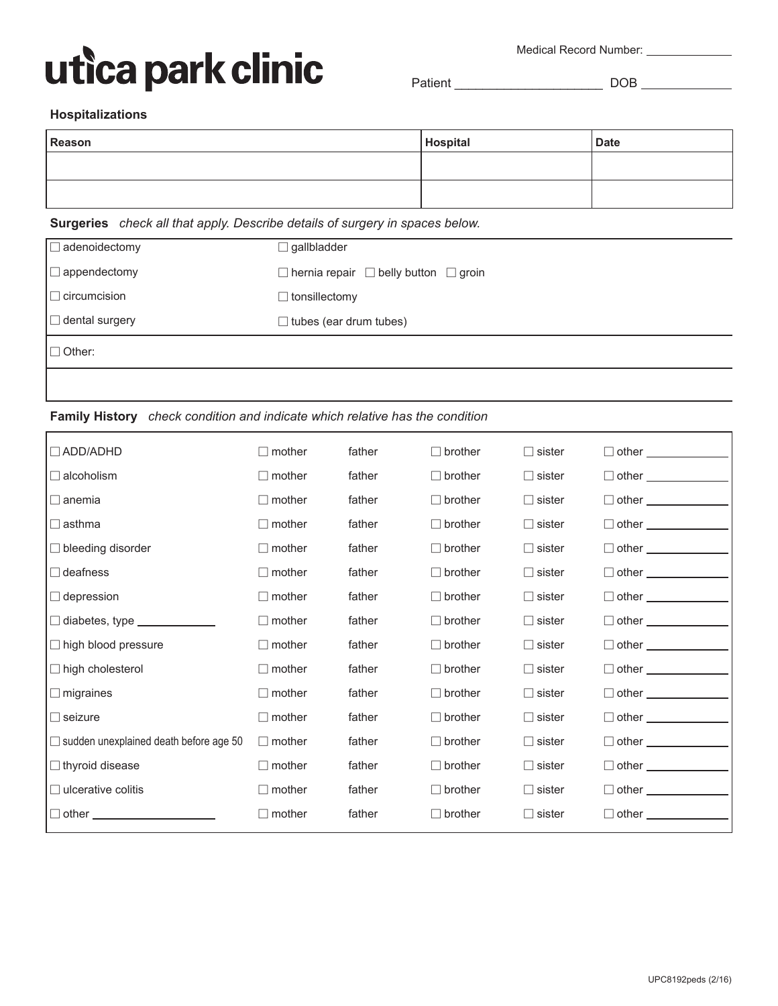## utica park clinic

Medical Record Number: \_\_\_\_\_\_\_\_\_\_\_\_\_\_\_

Patient \_\_\_\_\_\_\_\_\_\_\_\_\_\_\_\_\_\_\_\_\_ DOB

#### **Hospitalizations**

| Reason | Hospital | <b>Date</b> |
|--------|----------|-------------|
|        |          |             |
|        |          |             |

## **Surgeries** *check all that apply. Describe details of surgery in spaces below.*

| denoidectomy          | $\Box$ gallbladder                                    |
|-----------------------|-------------------------------------------------------|
| appendectomy          | $\Box$ hernia repair $\Box$ belly button $\Box$ groin |
| circumcision          | $\Box$ tonsillectomy                                  |
| $\Box$ dental surgery | $\Box$ tubes (ear drum tubes)                         |
| $\Box$ Other:         |                                                       |
|                       |                                                       |

## **Family History** *check condition and indicate which relative has the condition*

| $\Box$ ADD/ADHD                                                  | $\Box$ mother | father | $\Box$ brother | $\Box$ sister | $\Box$ other                 |
|------------------------------------------------------------------|---------------|--------|----------------|---------------|------------------------------|
| $\Box$ alcoholism                                                | $\Box$ mother | father | $\Box$ brother | $\Box$ sister | $\Box$ other                 |
| $\Box$ anemia                                                    | $\Box$ mother | father | $\Box$ brother | $\Box$ sister | $\Box$ other _______________ |
| $\Box$ asthma                                                    | $\Box$ mother | father | $\Box$ brother | $\Box$ sister | $\Box$ other $\Box$          |
| $\Box$ bleeding disorder                                         | $\Box$ mother | father | $\Box$ brother | $\Box$ sister | $\Box$ other $\Box$          |
| $\Box$ deafness                                                  | $\Box$ mother | father | $\Box$ brother | $\Box$ sister | $\Box$ other                 |
| $\Box$ depression                                                | $\Box$ mother | father | $\Box$ brother | $\Box$ sister | $\Box$ other                 |
| $\Box$ diabetes, type $\_\_\_\_\_\_\_\_\_\_\_\_\_\_\_\_\_\_\_\_$ | $\Box$ mother | father | $\Box$ brother | $\Box$ sister | $\Box$ other $\Box$          |
| $\Box$ high blood pressure                                       | $\Box$ mother | father | $\Box$ brother | $\Box$ sister | $\Box$ other $\Box$          |
| $\Box$ high cholesterol                                          | $\Box$ mother | father | $\Box$ brother | $\Box$ sister | $\Box$ other                 |
| $\Box$ migraines                                                 | $\Box$ mother | father | $\Box$ brother | $\Box$ sister | $\Box$ other $\Box$          |
| $\Box$ seizure                                                   | $\Box$ mother | father | $\Box$ brother | $\Box$ sister | $\Box$ other                 |
| $\Box$ sudden unexplained death before age 50                    | $\Box$ mother | father | $\Box$ brother | $\Box$ sister | $\Box$ other                 |
| $\Box$ thyroid disease                                           | $\Box$ mother | father | $\Box$ brother | $\Box$ sister | $\Box$ other $\Box$          |
| $\Box$ ulcerative colitis                                        | $\Box$ mother | father | $\Box$ brother | $\Box$ sister | $\Box$ other                 |
| $\Box$ other $\_\_$                                              | mother        | father | $\Box$ brother | $\Box$ sister | $\Box$ other                 |
|                                                                  |               |        |                |               |                              |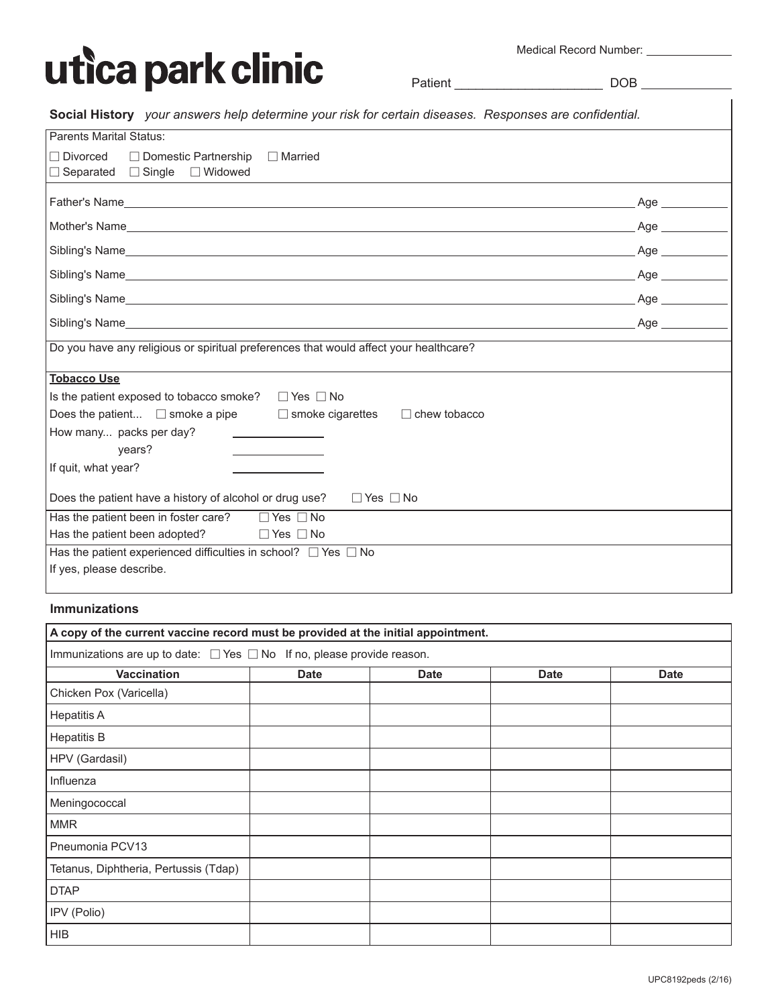

Medical Record Number:

Patient \_\_\_\_\_\_\_\_\_\_\_\_\_\_\_\_\_\_\_\_\_ DOB

|  | Medical Record Number. |  |
|--|------------------------|--|
|  |                        |  |
|  |                        |  |

**Social History** *your answers help determine your risk for certain diseases. Responses are confidential.*

| <b>Parents Marital Status:</b>                                                                                    |                     |  |  |
|-------------------------------------------------------------------------------------------------------------------|---------------------|--|--|
| $\Box$ Divorced<br>$\Box$ Domestic Partnership<br>$\Box$ Married<br>$\Box$ Separated $\Box$ Single $\Box$ Widowed |                     |  |  |
|                                                                                                                   | . Age ___________   |  |  |
|                                                                                                                   | Age                 |  |  |
|                                                                                                                   | Age                 |  |  |
|                                                                                                                   | Age                 |  |  |
|                                                                                                                   | $Age \qquad \qquad$ |  |  |
|                                                                                                                   | Age                 |  |  |
| Do you have any religious or spiritual preferences that would affect your healthcare?                             |                     |  |  |
| <b>Tobacco Use</b>                                                                                                |                     |  |  |
| Is the patient exposed to tobacco smoke? $\Box$ Yes $\Box$ No                                                     |                     |  |  |
| Does the patient $\Box$ smoke a pipe $\Box$ smoke cigarettes<br>$\Box$ chew tobacco                               |                     |  |  |
| How many packs per day?                                                                                           |                     |  |  |
| years?                                                                                                            |                     |  |  |
| If quit, what year?                                                                                               |                     |  |  |
| Does the patient have a history of alcohol or drug use?<br>$\Box$ Yes $\Box$ No                                   |                     |  |  |
| Has the patient been in foster care? $\Box$ Yes $\Box$ No                                                         |                     |  |  |
| Has the patient been adopted?<br>$\Box$ Yes $\Box$ No                                                             |                     |  |  |
| Has the patient experienced difficulties in school? $\Box$ Yes $\Box$ No                                          |                     |  |  |
| If yes, please describe.                                                                                          |                     |  |  |

#### **Immunizations**

| A copy of the current vaccine record must be provided at the initial appointment. |             |             |             |             |  |  |
|-----------------------------------------------------------------------------------|-------------|-------------|-------------|-------------|--|--|
| Immunizations are up to date: $\Box$ Yes $\Box$ No If no, please provide reason.  |             |             |             |             |  |  |
| <b>Vaccination</b>                                                                | <b>Date</b> | <b>Date</b> | <b>Date</b> | <b>Date</b> |  |  |
| Chicken Pox (Varicella)                                                           |             |             |             |             |  |  |
| <b>Hepatitis A</b>                                                                |             |             |             |             |  |  |
| <b>Hepatitis B</b>                                                                |             |             |             |             |  |  |
| HPV (Gardasil)                                                                    |             |             |             |             |  |  |
| Influenza                                                                         |             |             |             |             |  |  |
| Meningococcal                                                                     |             |             |             |             |  |  |
| <b>MMR</b>                                                                        |             |             |             |             |  |  |
| Pneumonia PCV13                                                                   |             |             |             |             |  |  |
| Tetanus, Diphtheria, Pertussis (Tdap)                                             |             |             |             |             |  |  |
| <b>DTAP</b>                                                                       |             |             |             |             |  |  |
| IPV (Polio)                                                                       |             |             |             |             |  |  |
| <b>HIB</b>                                                                        |             |             |             |             |  |  |